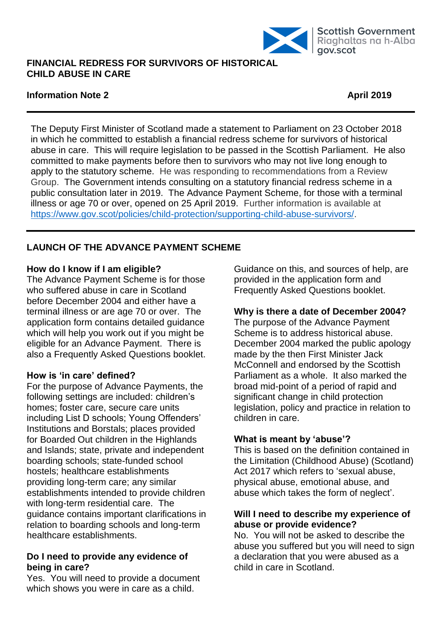

#### **FINANCIAL REDRESS FOR SURVIVORS OF HISTORICAL CHILD ABUSE IN CARE**

#### **Information Note 2 April 2019**

The Deputy First Minister of Scotland made a statement to Parliament on 23 October 2018 in which he committed to establish a financial redress scheme for survivors of historical abuse in care. This will require legislation to be passed in the Scottish Parliament. He also committed to make payments before then to survivors who may not live long enough to apply to the statutory scheme. He was responding to recommendations from a Review Group. The Government intends consulting on a statutory financial redress scheme in a public consultation later in 2019. The Advance Payment Scheme, for those with a terminal illness or age 70 or over, opened on 25 April 2019. Further information is available at [https://www.gov.scot/policies/child-protection/supporting-child-abuse-survivors/.](https://www.gov.scot/policies/child-protection/supporting-child-abuse-survivors/)

# **LAUNCH OF THE ADVANCE PAYMENT SCHEME**

#### **How do I know if I am eligible?**

The Advance Payment Scheme is for those who suffered abuse in care in Scotland before December 2004 and either have a terminal illness or are age 70 or over. The application form contains detailed guidance which will help you work out if you might be eligible for an Advance Payment. There is also a Frequently Asked Questions booklet.

#### **How is 'in care' defined?**

For the purpose of Advance Payments, the following settings are included: children's homes; foster care, secure care units including List D schools; Young Offenders' Institutions and Borstals; places provided for Boarded Out children in the Highlands and Islands; state, private and independent boarding schools; state-funded school hostels; healthcare establishments providing long-term care; any similar establishments intended to provide children with long-term residential care. The guidance contains important clarifications in relation to boarding schools and long-term healthcare establishments.

#### **Do I need to provide any evidence of being in care?**

Yes. You will need to provide a document which shows you were in care as a child.

Guidance on this, and sources of help, are provided in the application form and Frequently Asked Questions booklet.

#### **Why is there a date of December 2004?**

The purpose of the Advance Payment Scheme is to address historical abuse. December 2004 marked the public apology made by the then First Minister Jack McConnell and endorsed by the Scottish Parliament as a whole. It also marked the broad mid-point of a period of rapid and significant change in child protection legislation, policy and practice in relation to children in care.

#### **What is meant by 'abuse'?**

This is based on the definition contained in the Limitation (Childhood Abuse) (Scotland) Act 2017 which refers to 'sexual abuse, physical abuse, emotional abuse, and abuse which takes the form of neglect'.

#### **Will I need to describe my experience of abuse or provide evidence?**

No. You will not be asked to describe the abuse you suffered but you will need to sign a declaration that you were abused as a child in care in Scotland.